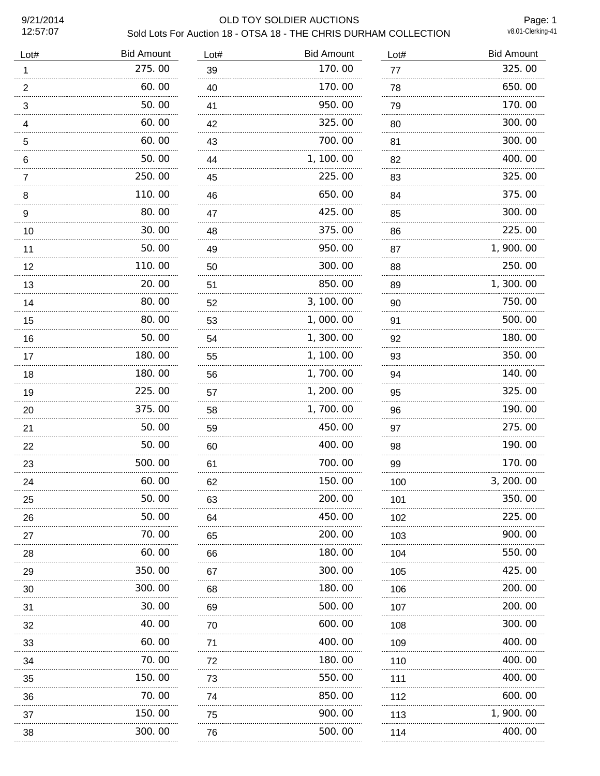12:57:07

## 9/21/2014 OLD TOY SOLDIER AUCTIONS Sold Lots For Auction 18 - OTSA 18 - THE CHRIS DURHAM COLLECTION

Page: 1<br>v8.01-Clerking-41

| <b>Bid Amount</b> | Lot#                       | <b>Bid Amount</b> | Lot# | <b>Bid Amount</b> |
|-------------------|----------------------------|-------------------|------|-------------------|
| 275.00            | 39                         | 170.00            | 77   | 325.00            |
| 60.00             | 40                         | 170.00            | 78   | 650.00            |
| 50.00             | 41                         | 950.00            | 79   | 170.00            |
| 60.00             | 42                         | 325.00            | 80   | 300.00            |
| 60.00             | 43                         | 700.00            | 81   | 300.00            |
| 50.00             | 44                         | 1, 100.00         | 82   | 400.00            |
| 250.00            | 45                         | 225.00            | 83   | 325.00            |
| 110.00            | 46                         | 650.00            | 84   | 375.00            |
| 80.00             | 47                         | 425.00            | 85   | 300.00            |
| 30.00             | 48                         | 375.00            | 86   | 225.00            |
| 50.00             | 49                         | 950.00            | 87   | 1,900.00          |
| 110.00            | 50                         | 300.00            | 88   | 250.00            |
| 20.00             | 51                         | 850.00            | 89   | 1,300.00          |
| 80.00             | 52                         | 3, 100.00         | 90   | 750.00            |
| 80.00             | 53                         | 1,000.00          | 91   | 500.00            |
| 50.00             | 54                         | 1,300.00          | 92   | 180.00            |
| 180.00            | 55                         | 1, 100.00         | 93   | 350.00            |
| 180.00            | 56                         | 1,700.00          | 94   | 140.00            |
| 225.00            | 57                         | 1, 200. 00        | 95   | 325.00            |
| 375.00            | 58                         | 1,700.00          | 96   | 190.00            |
| 50.00             | 59                         | 450.00            | 97   | 275.00            |
| 50.00             | 60                         | 400.00            | 98   | 190.00            |
| 500.00            | 61                         | 700.00            | 99   | 170.00            |
| 60.00             | 62                         | 150.00            | 100  | 3, 200. 00        |
| 50.00             | 63                         | 200.00            | 101  | 350.00            |
| 50.00             | 64                         | 450.00            | 102  | 225.00            |
| 70.00             | 65                         | 200.00            | 103  | 900. 00           |
| 60.00             | 66                         | 180.00            | 104  | 550.00            |
| 350.00            | 67                         | 300.00            | 105  | 425.00            |
| 300.00            | 68                         | 180.00            | 106  | 200.00            |
| 30.00             | 69                         | 500,00            | 107  | 200.00            |
| 40. 00            | 70                         | 600.00            | 108  | 300.00            |
| 60.00             | 71                         | 400.00            | 109  | 400.00            |
| 70.00             | 72                         | 180.00            | 110  | 400.00            |
| 150.00            | 73                         | 550.00            | 111  | 400.00            |
| 70.00             | 74                         | 850.00            | 112  | 600.00            |
| 150.00            | 75                         | 900.00            | 113  | 1, 900. 00        |
| 300.00            | 76                         | 500.00            | 114  | 400.00            |
|                   | .<br>.<br>.<br>.<br>.<br>. |                   |      |                   |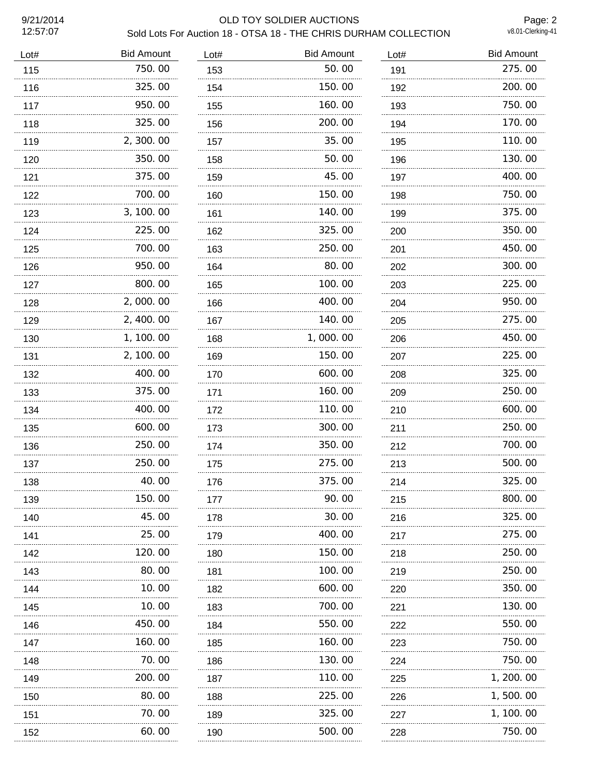12:57:07

## 9/21/2014 OLD TOY SOLDIER AUCTIONS Sold Lots For Auction 18 - OTSA 18 - THE CHRIS DURHAM COLLECTION

Page: 2<br>v8.01-Clerking-41

| Lot# | <b>Bid Amount</b> | Lot#     | <b>Bid Amount</b> | Lot# | <b>Bid Amount</b> |
|------|-------------------|----------|-------------------|------|-------------------|
| 115  | 750.00            | 153      | 50.00             | 191  | 275.00            |
| 116  | 325.00            | 154      | 150.00            | 192  | 200.00            |
| 117  | 950.00            | 155      | 160.00            | 193  | 750.00            |
| 118  | 325.00            | 156      | 200.00            | 194  | 170.00            |
| 119  | 2, 300.00         | 157      | 35.00             | 195  | 110.00            |
| 120  | 350.00            | 158      | 50.00             | 196  | 130.00            |
| 121  | 375.00            | 159      | 45.00             | 197  | 400.00            |
| 122  | 700.00            | 160      | 150.00            | 198  | 750.00            |
| 123  | 3, 100.00         | 161      | 140.00            | 199  | 375.00            |
| 124  | 225.00            | 162      | 325.00            | 200  | 350.00            |
| 125  | 700.00            | 163      | 250.00            | 201  | 450.00            |
| 126  | 950.00            | 164      | 80.00             | 202  | 300.00            |
| 127  | 800.00            | 165      | 100.00            | 203  | 225.00            |
| 128  | 2,000.00          | 166      | 400.00            | 204  | 950.00            |
| 129  | 2, 400.00         | 167      | 140.00            | 205  | 275.00            |
| 130  | 1, 100.00         | 168      | 1,000.00          | 206  | 450.00            |
| 131  | 2, 100.00         | 169      | 150.00            | 207  | 225.00            |
| 132  | 400.00            | 170      | 600.00            | 208  | 325.00            |
| 133  | 375.00            | 171      | 160.00            | 209  | 250.00            |
| 134  | 400.00            | 172<br>. | 110.00            | 210  | 600.00            |
| 135  | 600.00            | 173      | 300.00            | 211  | 250.00            |
| 136  | 250.00            | 174      | 350.00            | 212  | 700.00            |
| 137  | 250.00            | 175      | 275.00            | 213  | 500.00            |
| 138  | 40.00             | 176      | 375.00            | 214  | 325.00            |
| 139  | 150.00            | 177      | 90.00             | 215  | 800.00            |
| 140  | 45.00             | 178      | 30.00             | 216  | 325.00            |
| 141  | 25,00             | 179      | 400.00            | 217  | 275.00            |
| 142  | 120. 00           | 180      | 150.00            | 218  | 250.00            |
| 143  | 80.00             | 181      | 100.00            | 219  | 250.00            |
| 144  | .<br>10.00        | 182      | 600.00            | 220  | 350.00            |
| 145  | 10.00             | 183      | 700.00            | 221  | 130.00            |
| 146  | 450.00            | 184      | 550.00            | 222  | 550.00            |
| 147  | 160.00            | 185      | 160.00            | 223  | 750.00            |
| 148  | 70. 00            | 186      | 130.00            | 224  | 750.00            |
| 149  | 200.00            | 187      | 110.00            | 225  | 1, 200. 00        |
| 150  | 80.00             | 188      | 225.00            | 226  | 1,500.00          |
| 151  | 70.00             | 189      | 325.00            | 227  | 1, 100. 00        |
| 152  | 60. 00            | 190      | 500.00            | 228  | 750.00            |
| .    |                   |          |                   |      |                   |